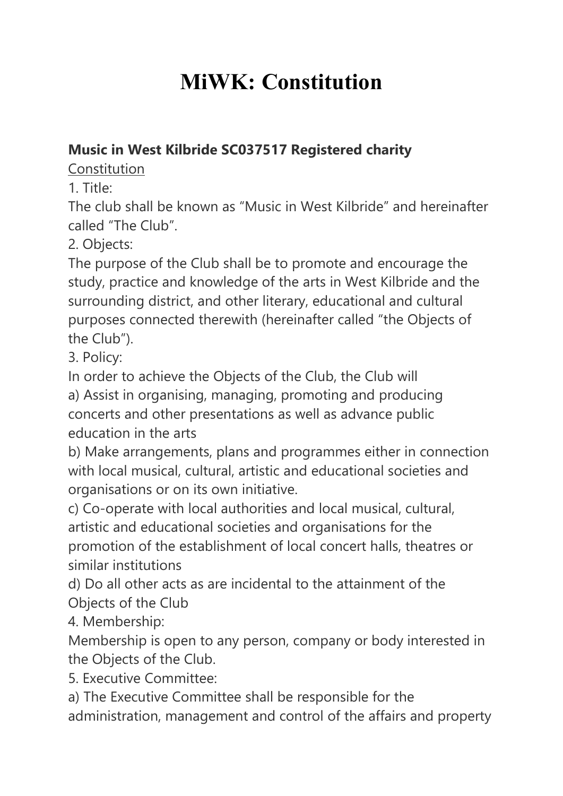## **MiWK: Constitution**

## **Music in West Kilbride SC037517 Registered charity**

Constitution

1. Title:

The club shall be known as "Music in West Kilbride" and hereinafter called "The Club".

2. Objects:

The purpose of the Club shall be to promote and encourage the study, practice and knowledge of the arts in West Kilbride and the surrounding district, and other literary, educational and cultural purposes connected therewith (hereinafter called "the Objects of the Club").

3. Policy:

In order to achieve the Objects of the Club, the Club will

a) Assist in organising, managing, promoting and producing concerts and other presentations as well as advance public education in the arts

b) Make arrangements, plans and programmes either in connection with local musical, cultural, artistic and educational societies and organisations or on its own initiative.

c) Co-operate with local authorities and local musical, cultural, artistic and educational societies and organisations for the promotion of the establishment of local concert halls, theatres or similar institutions

d) Do all other acts as are incidental to the attainment of the Objects of the Club

4. Membership:

Membership is open to any person, company or body interested in the Objects of the Club.

5. Executive Committee:

a) The Executive Committee shall be responsible for the administration, management and control of the affairs and property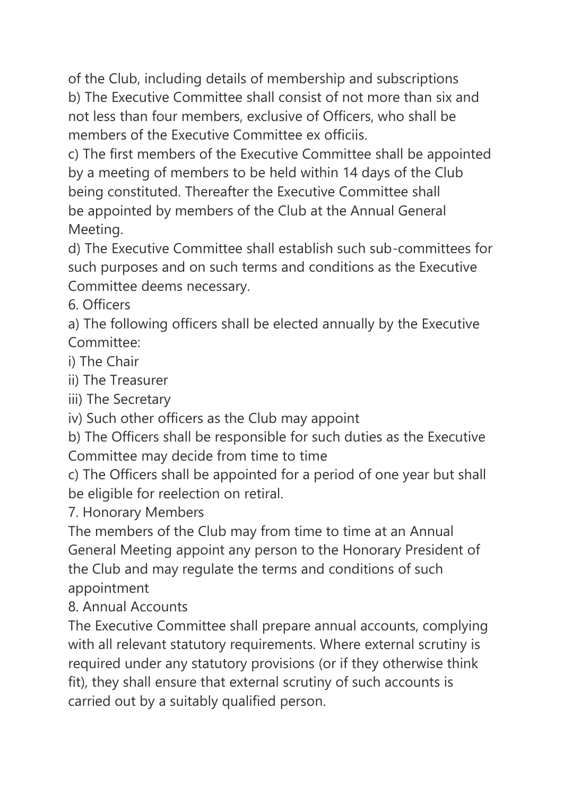of the Club, including details of membership and subscriptions b) The Executive Committee shall consist of not more than six and not less than four members, exclusive of Officers, who shall be members of the Executive Committee ex officiis.

c) The first members of the Executive Committee shall be appointed by a meeting of members to be held within 14 days of the Club being constituted. Thereafter the Executive Committee shall be appointed by members of the Club at the Annual General Meeting.

d) The Executive Committee shall establish such sub-committees for such purposes and on such terms and conditions as the Executive Committee deems necessary.

6. Officers

a) The following officers shall be elected annually by the Executive Committee:

i) The Chair

ii) The Treasurer

iii) The Secretary

iv) Such other officers as the Club may appoint

b) The Officers shall be responsible for such duties as the Executive Committee may decide from time to time

c) The Officers shall be appointed for a period of one year but shall be eligible for reelection on retiral.

7. Honorary Members

The members of the Club may from time to time at an Annual General Meeting appoint any person to the Honorary President of the Club and may regulate the terms and conditions of such appointment

8. Annual Accounts

The Executive Committee shall prepare annual accounts, complying with all relevant statutory requirements. Where external scrutiny is required under any statutory provisions (or if they otherwise think fit), they shall ensure that external scrutiny of such accounts is carried out by a suitably qualified person.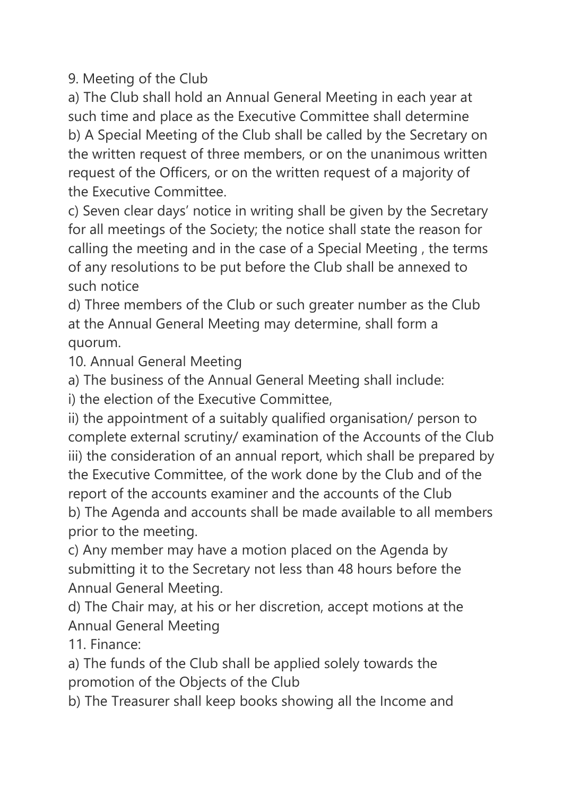9. Meeting of the Club

a) The Club shall hold an Annual General Meeting in each year at such time and place as the Executive Committee shall determine b) A Special Meeting of the Club shall be called by the Secretary on the written request of three members, or on the unanimous written request of the Officers, or on the written request of a majority of the Executive Committee.

c) Seven clear days' notice in writing shall be given by the Secretary for all meetings of the Society; the notice shall state the reason for calling the meeting and in the case of a Special Meeting , the terms of any resolutions to be put before the Club shall be annexed to such notice

d) Three members of the Club or such greater number as the Club at the Annual General Meeting may determine, shall form a quorum.

10. Annual General Meeting

a) The business of the Annual General Meeting shall include:

i) the election of the Executive Committee,

ii) the appointment of a suitably qualified organisation/ person to complete external scrutiny/ examination of the Accounts of the Club iii) the consideration of an annual report, which shall be prepared by the Executive Committee, of the work done by the Club and of the report of the accounts examiner and the accounts of the Club b) The Agenda and accounts shall be made available to all members prior to the meeting.

c) Any member may have a motion placed on the Agenda by submitting it to the Secretary not less than 48 hours before the Annual General Meeting.

d) The Chair may, at his or her discretion, accept motions at the Annual General Meeting

11. Finance:

a) The funds of the Club shall be applied solely towards the promotion of the Objects of the Club

b) The Treasurer shall keep books showing all the Income and